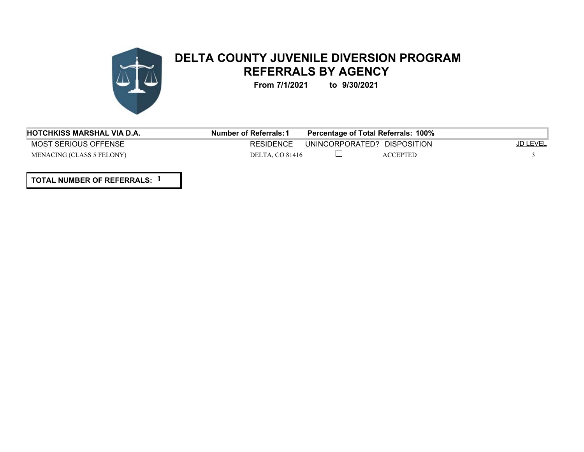

## **DELTA COUNTY JUVENILE DIVERSION PROGRAM REFERRALS BY AGENCY**

**From 7/1/2021 to 9/30/2021**

| <b>HOTCHKISS MARSHAL VIA D.A.</b> | <b>Number of Referrals: 1</b> | Percentage of Total Referrals: 100% |                 |
|-----------------------------------|-------------------------------|-------------------------------------|-----------------|
| MOST SERIOUS OFFENSE              | <b>RESIDENCE</b>              | UNINCORPORATED? DISPOSITION         | <u>JD LEVEL</u> |
| <b>MENACING (CLASS 5 FELONY)</b>  | DELTA. CO 81416               | <b>ACCEPTED</b>                     |                 |
|                                   |                               |                                     |                 |

**TOTAL NUMBER OF REFERRALS: 1**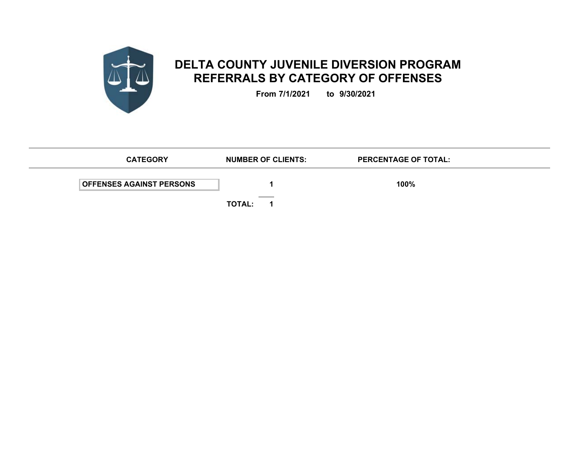

## **DELTA COUNTY JUVENILE DIVERSION PROGRAM REFERRALS BY CATEGORY OF OFFENSES**

**From 7/1/2021 to 9/30/2021**

| <b>CATEGORY</b>                 | <b>NUMBER OF CLIENTS:</b>                                   | <b>PERCENTAGE OF TOTAL:</b> |  |
|---------------------------------|-------------------------------------------------------------|-----------------------------|--|
| <b>OFFENSES AGAINST PERSONS</b> |                                                             | 100%                        |  |
|                                 | <b>Contract Contract Contract Contract</b><br><b>TOTAL:</b> |                             |  |